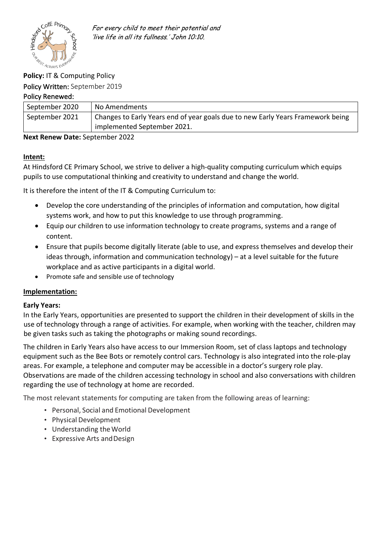

For every child to meet their potential and 'live life in all its fullness.' John 10:10.

# **Policy:** IT & Computing Policy

Policy Written: September 2019

## Policy Renewed:

| September 2020 | No Amendments                                                                   |  |
|----------------|---------------------------------------------------------------------------------|--|
| September 2021 | Changes to Early Years end of year goals due to new Early Years Framework being |  |
|                | implemented September 2021.                                                     |  |

**Next Renew Date:** September 2022

## **Intent:**

At Hindsford CE Primary School, we strive to deliver a high-quality computing curriculum which equips pupils to use computational thinking and creativity to understand and change the world.

It is therefore the intent of the IT & Computing Curriculum to:

- Develop the core understanding of the principles of information and computation, how digital systems work, and how to put this knowledge to use through programming.
- Equip our children to use information technology to create programs, systems and a range of content.
- Ensure that pupils become digitally literate (able to use, and express themselves and develop their ideas through, information and communication technology) – at a level suitable for the future workplace and as active participants in a digital world.
- Promote safe and sensible use of technology

## **Implementation:**

## **Early Years:**

In the Early Years, opportunities are presented to support the children in their development of skills in the use of technology through a range of activities. For example, when working with the teacher, children may be given tasks such as taking the photographs or making sound recordings.

The children in Early Years also have access to our Immersion Room, set of class laptops and technology equipment such as the Bee Bots or remotely control cars. Technology is also integrated into the role-play areas. For example, a telephone and computer may be accessible in a doctor's surgery role play. Observations are made of the children accessing technology in school and also conversations with children regarding the use of technology at home are recorded.

The most relevant statements for computing are taken from the following areas of learning:

- Personal, Social and Emotional Development
- Physical Development
- Understanding theWorld
- Expressive Arts andDesign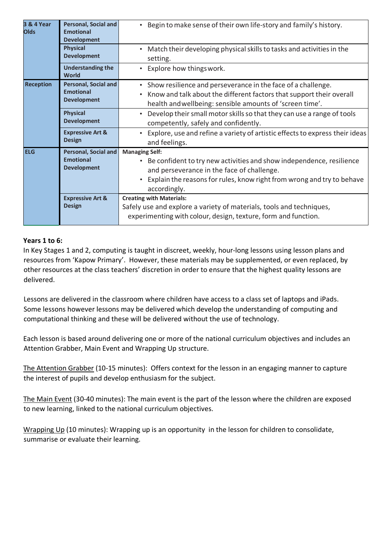| <b>3 &amp; 4 Year</b><br><b>Olds</b> | <b>Personal, Social and</b><br><b>Emotional</b><br><b>Development</b> | Begin to make sense of their own life-story and family's history.                                                                                                                                                                                               |
|--------------------------------------|-----------------------------------------------------------------------|-----------------------------------------------------------------------------------------------------------------------------------------------------------------------------------------------------------------------------------------------------------------|
|                                      | <b>Physical</b><br><b>Development</b>                                 | Match their developing physical skills to tasks and activities in the<br>$\bullet$<br>setting.                                                                                                                                                                  |
|                                      | <b>Understanding the</b><br>World                                     | Explore how things work.                                                                                                                                                                                                                                        |
| <b>Reception</b>                     | <b>Personal, Social and</b><br><b>Emotional</b><br><b>Development</b> | Show resilience and perseverance in the face of a challenge.<br>$\bullet$<br>Know and talk about the different factors that support their overall<br>health and wellbeing: sensible amounts of 'screen time'.                                                   |
|                                      | <b>Physical</b><br><b>Development</b>                                 | Develop their small motor skills so that they can use a range of tools<br>$\bullet$<br>competently, safely and confidently.                                                                                                                                     |
|                                      | <b>Expressive Art &amp;</b><br><b>Design</b>                          | Explore, use and refine a variety of artistic effects to express their ideas<br>$\bullet$<br>and feelings.                                                                                                                                                      |
| <b>ELG</b>                           | Personal, Social and<br><b>Emotional</b><br><b>Development</b>        | <b>Managing Self:</b><br>Be confident to try new activities and show independence, resilience<br>$\bullet$<br>and perseverance in the face of challenge.<br>Explain the reasons for rules, know right from wrong and try to behave<br>$\bullet$<br>accordingly. |
|                                      | <b>Expressive Art &amp;</b><br><b>Design</b>                          | <b>Creating with Materials:</b><br>Safely use and explore a variety of materials, tools and techniques,<br>experimenting with colour, design, texture, form and function.                                                                                       |

### **Years 1 to 6:**

In Key Stages 1 and 2, computing is taught in discreet, weekly, hour-long lessons using lesson plans and resources from 'Kapow Primary'. However, these materials may be supplemented, or even replaced, by other resources at the class teachers' discretion in order to ensure that the highest quality lessons are delivered.

Lessons are delivered in the classroom where children have access to a class set of laptops and iPads. Some lessons however lessons may be delivered which develop the understanding of computing and computational thinking and these will be delivered without the use of technology.

Each lesson is based around delivering one or more of the national curriculum objectives and includes an Attention Grabber, Main Event and Wrapping Up structure.

The Attention Grabber (10-15 minutes): Offers context for the lesson in an engaging manner to capture the interest of pupils and develop enthusiasm for the subject.

The Main Event (30-40 minutes): The main event is the part of the lesson where the children are exposed to new learning, linked to the national curriculum objectives.

Wrapping Up (10 minutes): Wrapping up is an opportunity in the lesson for children to consolidate, summarise or evaluate their learning.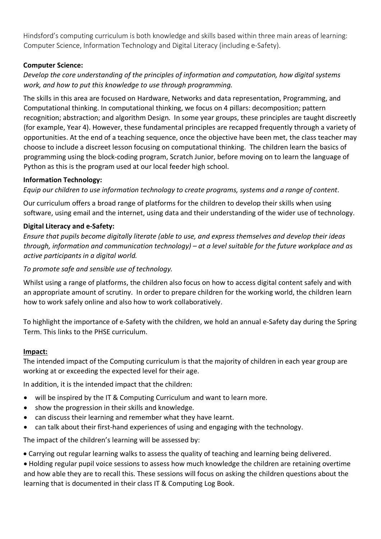Hindsford's computing curriculum is both knowledge and skills based within three main areas of learning: Computer Science, Information Technology and Digital Literacy (including e-Safety).

# **Computer Science:**

# *Develop the core understanding of the principles of information and computation, how digital systems work, and how to put this knowledge to use through programming.*

The skills in this area are focused on Hardware, Networks and data representation, Programming, and Computational thinking. In computational thinking, we focus on 4 pillars: decomposition; pattern recognition; abstraction; and algorithm Design. In some year groups, these principles are taught discreetly (for example, Year 4). However, these fundamental principles are recapped frequently through a variety of opportunities. At the end of a teaching sequence, once the objective have been met, the class teacher may choose to include a discreet lesson focusing on computational thinking. The children learn the basics of programming using the block-coding program, Scratch Junior, before moving on to learn the language of Python as this is the program used at our local feeder high school.

## **Information Technology:**

*Equip our children to use information technology to create programs, systems and a range of content*.

Our curriculum offers a broad range of platforms for the children to develop their skills when using software, using email and the internet, using data and their understanding of the wider use of technology.

# **Digital Literacy and e-Safety:**

*Ensure that pupils become digitally literate (able to use, and express themselves and develop their ideas through, information and communication technology) – at a level suitable for the future workplace and as active participants in a digital world.*

# *To promote safe and sensible use of technology.*

Whilst using a range of platforms, the children also focus on how to access digital content safely and with an appropriate amount of scrutiny. In order to prepare children for the working world, the children learn how to work safely online and also how to work collaboratively.

To highlight the importance of e-Safety with the children, we hold an annual e-Safety day during the Spring Term. This links to the PHSE curriculum.

## **Impact:**

The intended impact of the Computing curriculum is that the majority of children in each year group are working at or exceeding the expected level for their age.

In addition, it is the intended impact that the children:

- will be inspired by the IT & Computing Curriculum and want to learn more.
- show the progression in their skills and knowledge.
- can discuss their learning and remember what they have learnt.
- can talk about their first-hand experiences of using and engaging with the technology.

The impact of the children's learning will be assessed by:

• Carrying out regular learning walks to assess the quality of teaching and learning being delivered.

• Holding regular pupil voice sessions to assess how much knowledge the children are retaining overtime and how able they are to recall this. These sessions will focus on asking the children questions about the learning that is documented in their class IT & Computing Log Book.